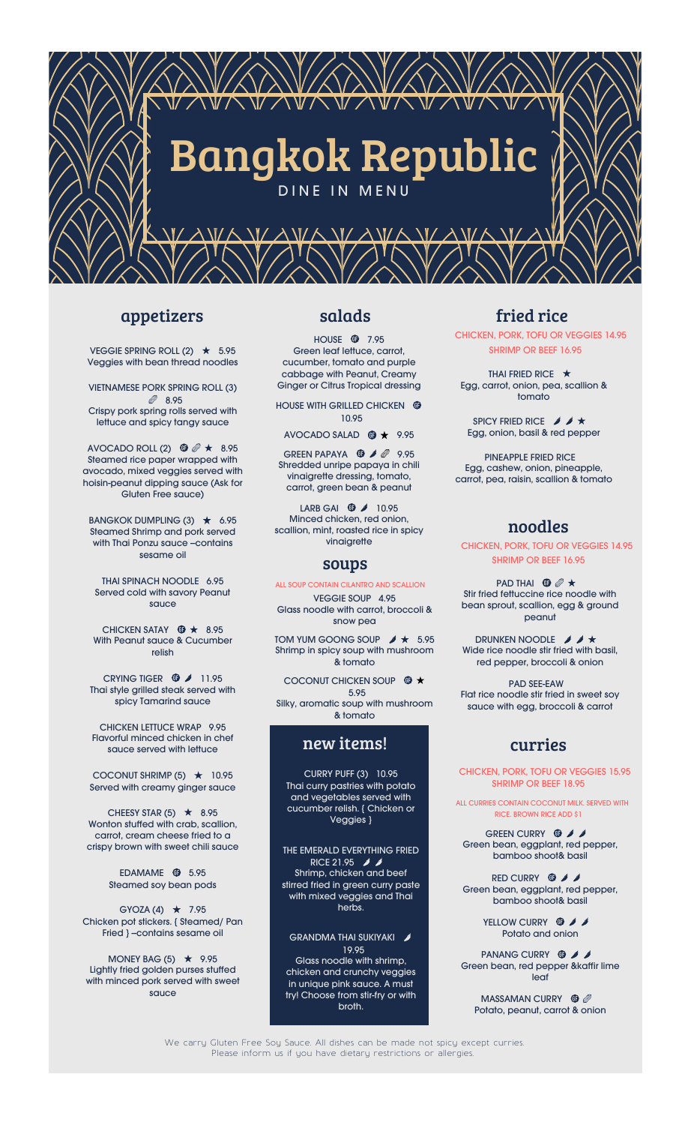

#### appetizers

VEGGIE SPRING ROLL  $(2)$   $\star$  5.95 Veggies with bean thread noodles

VIETNAMESE PORK SPRING ROLL (3) ● 8.95 Crispy pork spring rolls served with lettuce and spicy tangy sauce

AVOCADO ROLL (2)  $\bullet$   $\mathscr{O} \star 8.95$ Steamed rice paper wrapped with avocado, mixed veggies served with hoisin-peanut dipping sauce (Ask for Gluten Free sauce)

BANGKOK DUMPLING  $(3)$   $\star$  6.95 Steamed Shrimp and pork served with Thai Ponzu sauce --contains sesame oil

THAI SPINACH NOODLE 6.95 Served cold with savory Peanut sauce

CHICKEN SATAY  $\circledast \star 8.95$ With Peanut sauce & Cucumber relish

CRYING TIGER  $\bullet$  11.95 Thai style grilled steak served with spicy Tamarind sauce

CHICKEN LETTUCE WRAP 9.95 Flavorful minced chicken in chef sauce served with lettuce

COCONUT SHRIMP (5)  $\star$  10.95 Served with creamy ginger sauce

CHEESY STAR (5)  $\star$  8.95 Wonton stuffed with crab, scallion, carrot, cream cheese fried to a crispy brown with sweet chili sauce

> EDAMAME <sup>1</sup> 5.95 Steamed soy bean pods

GYOZA  $(4)$   $\star$  7.95 Chicken pot stickers. { Steamed/ Pan Fried } --contains sesame oil

MONEY BAG  $(5)$   $\star$  9.95 Lightly fried golden purses stuffed with minced pork served with sweet sauce

#### salads

**HOUSE 17.95** Green leaf lettuce, carrot, cucumber, tomato and purple cabbage with Peanut, Creamy Ginger or Citrus Tropical dressing

HOUSE WITH GRILLED CHICKEN <sup>®</sup> 10.95

AVOCADO SALAD  $\circledast \star$  9.95

GREEN PAPAYA  $\bullet$  /  $\bullet$  9.95 Shredded unripe papaya in chili vinaigrette dressing, tomato, carrot, green bean & peanut

LARB GAI  $\bullet$  10.95 Minced chicken, red onion, scallion, mint, roasted rice in spicy vinaigrette

#### soups

VEGGIE SOUP 4.95 Glass noodle with carrot, broccoli & ALL SOUP CONTAIN CILANTRO AND SCALLION

snow pea

TOM YUM GOONG SOUP  $\cancel{\rightarrow}$   $\star$  5.95 Shrimp in spicy soup with mushroom & tomato

COCONUT CHICKEN SOUP  $\circledast \star$ 5.95 Silky, aromatic soup with mushroom & tomato

new items!

CURRY PUFF (3) 10.95 Thai curry pastries with potato and vegetables served with cucumber relish. { Chicken or Veggies }

THE EMERALD EVERYTHING FRIED RICE 21.95 / Shrimp, chicken and beef stirred fried in green curry paste with mixed veggies and Thai herbs.

GRANDMA THAI SUKIYAKI 19.95 Glass noodle with shrimp, chicken and crunchy veggies in unique pink sauce. A must try! Choose from stir-fry or with broth.

## fried rice

CHICKEN, PORK, TOFU OR VEGGIES 14.95 SHRIMP OR BEEF 16.95

THAI FRIED RICE  $\star$ Egg, carrot, onion, pea, scallion & tomato

SPICY FRIED RICE  $\mathscr{I} \mathscr{I} \star$ Egg, onion, basil & red pepper

PINEAPPLE FRIED RICE Egg, cashew, onion, pineapple, carrot, pea, raisin, scallion & tomato

#### noodles

SHRIMP OR BEEF 16.95 CHICKEN, PORK, TOFU OR VEGGIES 14.95

PAD THAI **O**  $\mathscr{O}$   $\star$ Stir fried fettuccine rice noodle with bean sprout, scallion, egg & ground peanut

DRUNKEN NOODLE *I I* Wide rice noodle stir fried with basil, red pepper, broccoli & onion

PAD SEE-EAW Flat rice noodle stir fried in sweet soy sauce with egg, broccoli & carrot

#### curries

SHRIMP OR BEEF 18.95 CHICKEN, PORK, TOFU OR VEGGIES 15.95

ALL CURRIES CONTAIN COCONUT MILK. SERVED WITH RICE. BROWN RICE ADD \$1

GREEN CURRY **<b>O** *j* Green bean, eggplant, red pepper, bamboo shoot& basil

RED CURRY **<b>O** / / Green bean, eggplant, red pepper, bamboo shoot& basil

> YELLOW CURRY **<b>O** *j* Potato and onion

PANANG CURRY **O** Green bean, red pepper &kaffir lime leaf

MASSAMAN CURRY **O** Potato, peanut, carrot & onion

We carry Gluten Free Soy Sauce. All dishes can be made not spicy except curries. Please inform us if you have dietary restrictions or allergies.